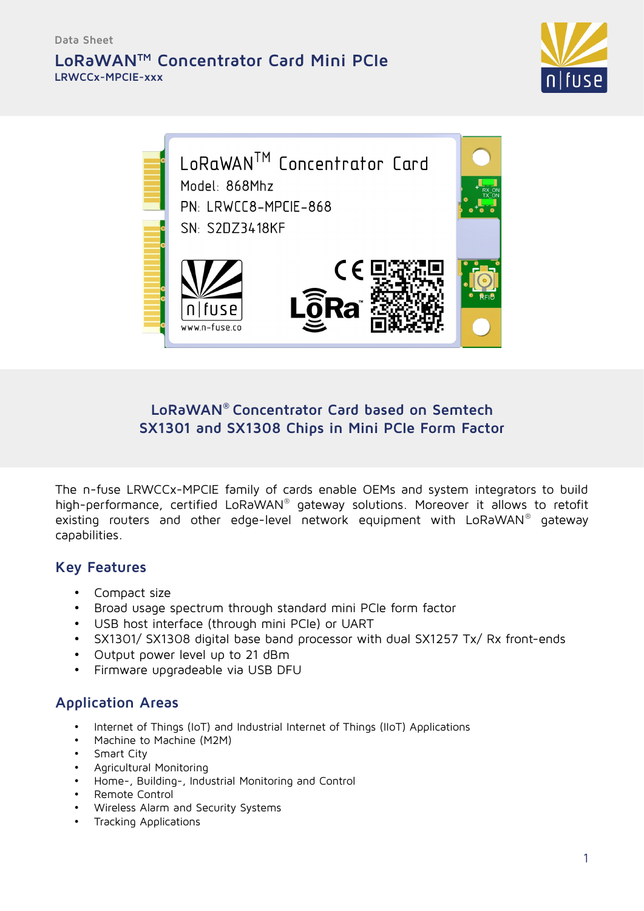### **LoRaWANTM Concentrator Card Mini PCIe LRWCCx-MPCIE-xxx**





#### **LoRaWAN® Concentrator Card based on Semtech SX1301 and SX1308 Chips in Mini PCIe Form Factor**

The n-fuse LRWCCx-MPCIE family of cards enable OEMs and system integrators to build high-performance, certified LoRaWAN® gateway solutions. Moreover it allows to retofit existing routers and other edge-level network equipment with LoRaWAN® gateway capabilities.

#### **Key Features**

- Compact size
- Broad usage spectrum through standard mini PCIe form factor
- USB host interface (through mini PCIe) or UART
- SX1301/ SX1308 digital base band processor with dual SX1257 Tx/ Rx front-ends
- Output power level up to 21 dBm
- Firmware upgradeable via USB DFU

### **Application Areas**

- Internet of Things (IoT) and Industrial Internet of Things (IIoT) Applications
- Machine to Machine (M2M)
- Smart City
- Agricultural Monitoring
- Home-, Building-, Industrial Monitoring and Control
- Remote Control
- Wireless Alarm and Security Systems
- Tracking Applications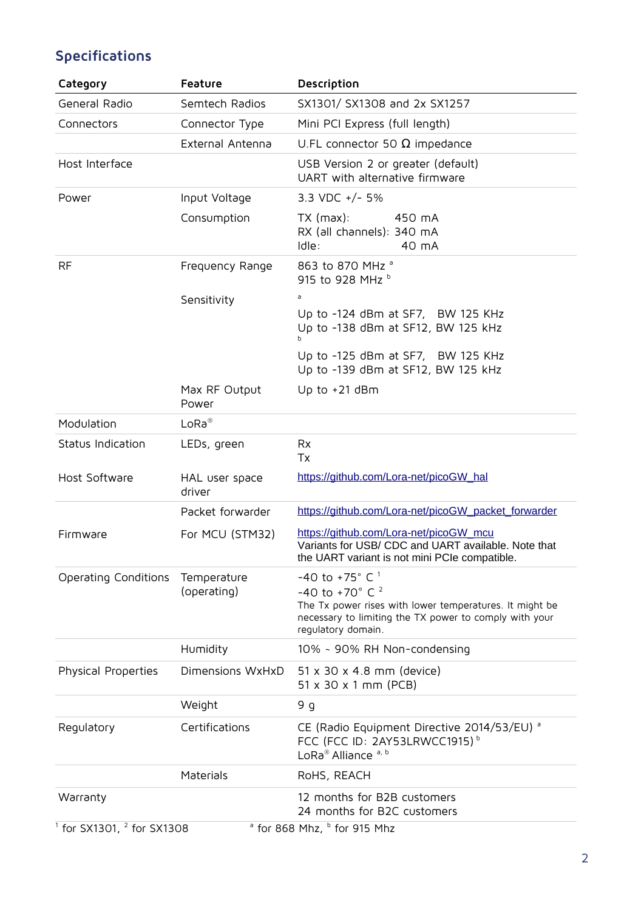# **Specifications**

| Category                       | Feature                    | Description                                                                                                                                                                                                     |  |
|--------------------------------|----------------------------|-----------------------------------------------------------------------------------------------------------------------------------------------------------------------------------------------------------------|--|
| General Radio                  | Semtech Radios             | SX1301/ SX1308 and 2x SX1257                                                                                                                                                                                    |  |
| Connectors                     | Connector Type             | Mini PCI Express (full length)                                                                                                                                                                                  |  |
|                                | External Antenna           | U.FL connector 50 $\Omega$ impedance                                                                                                                                                                            |  |
| Host Interface                 |                            | USB Version 2 or greater (default)<br>UART with alternative firmware                                                                                                                                            |  |
| Power                          | Input Voltage              | 3.3 VDC $+/-$ 5%                                                                                                                                                                                                |  |
|                                | Consumption                | $TX$ (max):<br>450 mA<br>RX (all channels): 340 mA<br>Idle:<br>40 mA                                                                                                                                            |  |
| <b>RF</b>                      | Frequency Range            | 863 to 870 MHz <sup>a</sup><br>915 to 928 MHz b                                                                                                                                                                 |  |
|                                | Sensitivity                | а                                                                                                                                                                                                               |  |
|                                |                            | Up to -124 dBm at SF7, BW 125 KHz<br>Up to -138 dBm at SF12, BW 125 kHz<br>b.                                                                                                                                   |  |
|                                |                            | Up to -125 dBm at SF7, BW 125 KHz<br>Up to -139 dBm at SF12, BW 125 kHz                                                                                                                                         |  |
|                                | Max RF Output<br>Power     | Up to $+21$ dBm                                                                                                                                                                                                 |  |
| Modulation                     | $L$ o $Ra^{\circledR}$     |                                                                                                                                                                                                                 |  |
| Status Indication              | LEDs, green                | <b>Rx</b><br>Tx                                                                                                                                                                                                 |  |
| Host Software                  | HAL user space<br>driver   | https://github.com/Lora-net/picoGW_hal                                                                                                                                                                          |  |
|                                | Packet forwarder           | https://github.com/Lora-net/picoGW_packet_forwarder                                                                                                                                                             |  |
| Firmware                       | For MCU (STM32)            | https://github.com/Lora-net/picoGW_mcu<br>Variants for USB/ CDC and UART available. Note that<br>the UART variant is not mini PCIe compatible.                                                                  |  |
| Operating Conditions           | Temperature<br>(operating) | -40 to +75 $^{\circ}$ C $^{\circ}$<br>-40 to +70 $^{\circ}$ C $^{2}$<br>The Tx power rises with lower temperatures. It might be<br>necessary to limiting the TX power to comply with your<br>regulatory domain. |  |
|                                | Humidity                   | 10% ~ 90% RH Non-condensing                                                                                                                                                                                     |  |
| Physical Properties            | Dimensions WxHxD           | 51 x 30 x 4.8 mm (device)<br>51 x 30 x 1 mm (PCB)                                                                                                                                                               |  |
|                                | Weight                     | و 9                                                                                                                                                                                                             |  |
| Regulatory                     | Certifications             | CE (Radio Equipment Directive 2014/53/EU) <sup>a</sup><br>FCC (FCC ID: 2AY53LRWCC1915) <sup>b</sup><br>LoRa® Alliance a, b                                                                                      |  |
|                                | Materials                  | RoHS, REACH                                                                                                                                                                                                     |  |
| Warranty                       |                            | 12 months for B2B customers<br>24 months for B2C customers                                                                                                                                                      |  |
| $1$ for SX1301, $2$ for SX1308 |                            | <sup>ª</sup> for 868 Mhz, <sup>b</sup> for 915 Mhz                                                                                                                                                              |  |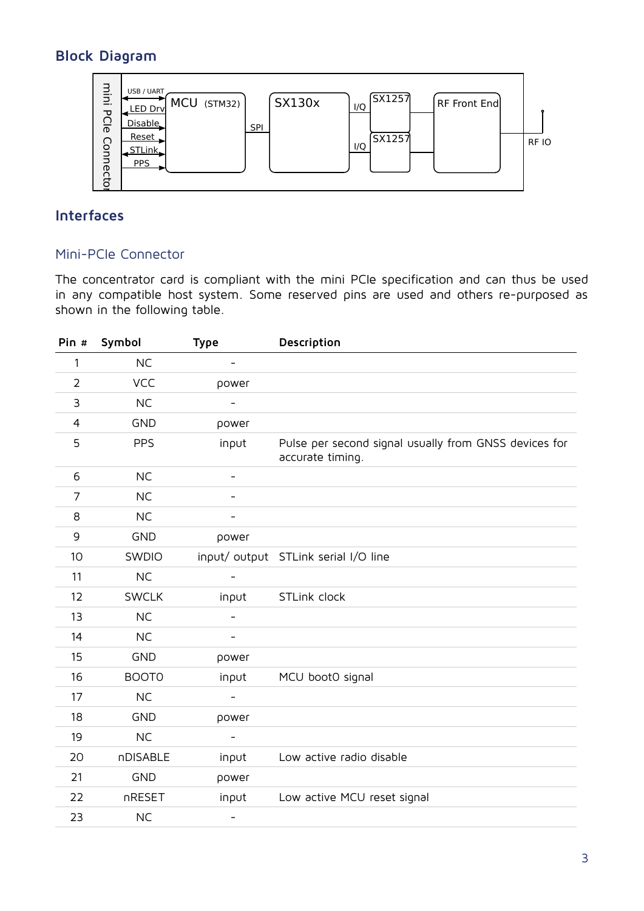## **Block Diagram**



### **Interfaces**

#### Mini-PCIe Connector

The concentrator card is compliant with the mini PCIe specification and can thus be used in any compatible host system. Some reserved pins are used and others re-purposed as shown in the following table.

| Pin #          | Symbol       | <b>Type</b>              | Description                                                               |
|----------------|--------------|--------------------------|---------------------------------------------------------------------------|
| 1              | <b>NC</b>    | $\overline{\phantom{a}}$ |                                                                           |
| $\overline{2}$ | VCC          | power                    |                                                                           |
| 3              | <b>NC</b>    | $\overline{\phantom{a}}$ |                                                                           |
| 4              | <b>GND</b>   | power                    |                                                                           |
| 5              | <b>PPS</b>   | input                    | Pulse per second signal usually from GNSS devices for<br>accurate timing. |
| 6              | <b>NC</b>    | $\overline{\phantom{a}}$ |                                                                           |
| $\overline{7}$ | <b>NC</b>    | $\overline{\phantom{0}}$ |                                                                           |
| 8              | <b>NC</b>    |                          |                                                                           |
| 9              | <b>GND</b>   | power                    |                                                                           |
| 10             | SWDIO        |                          | input/ output STLink serial I/O line                                      |
| 11             | <b>NC</b>    |                          |                                                                           |
| 12             | <b>SWCLK</b> | input                    | STLink clock                                                              |
| 13             | <b>NC</b>    |                          |                                                                           |
| 14             | <b>NC</b>    |                          |                                                                           |
| 15             | <b>GND</b>   | power                    |                                                                           |
| 16             | <b>BOOTO</b> | input                    | MCU bootO signal                                                          |
| 17             | <b>NC</b>    |                          |                                                                           |
| 18             | <b>GND</b>   | power                    |                                                                           |
| 19             | <b>NC</b>    |                          |                                                                           |
| 20             | nDISABLE     | input                    | Low active radio disable                                                  |
| 21             | <b>GND</b>   | power                    |                                                                           |
| 22             | nRESET       | input                    | Low active MCU reset signal                                               |
| 23             | <b>NC</b>    | $\overline{\phantom{a}}$ |                                                                           |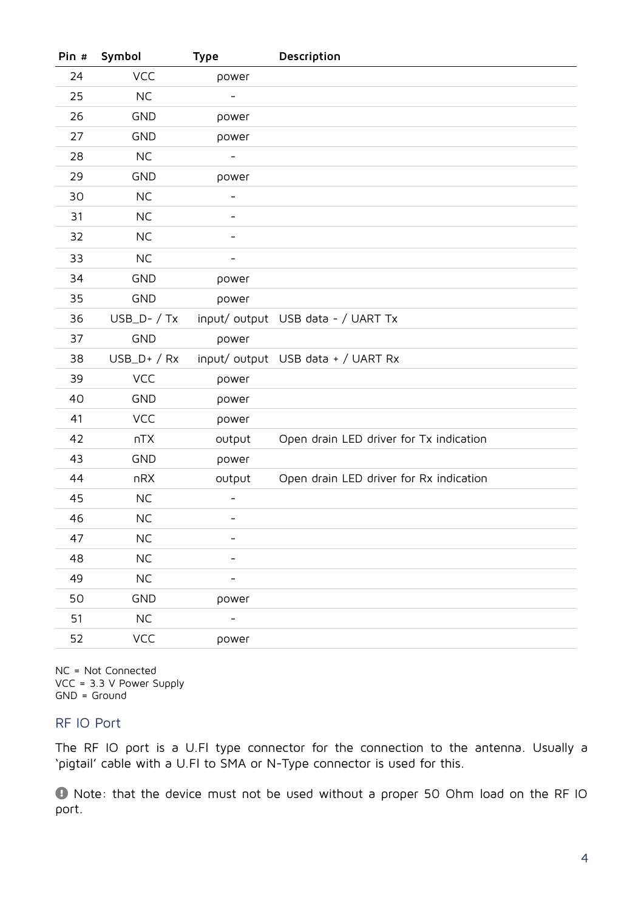| Pin # | Symbol         | <b>Type</b>              | Description                             |
|-------|----------------|--------------------------|-----------------------------------------|
| 24    | <b>VCC</b>     | power                    |                                         |
| 25    | <b>NC</b>      |                          |                                         |
| 26    | <b>GND</b>     | power                    |                                         |
| 27    | <b>GND</b>     | power                    |                                         |
| 28    | <b>NC</b>      | $\overline{\phantom{a}}$ |                                         |
| 29    | <b>GND</b>     | power                    |                                         |
| 30    | <b>NC</b>      | $\overline{\phantom{a}}$ |                                         |
| 31    | <b>NC</b>      |                          |                                         |
| 32    | <b>NC</b>      | $\overline{\phantom{a}}$ |                                         |
| 33    | <b>NC</b>      | $\overline{\phantom{a}}$ |                                         |
| 34    | <b>GND</b>     | power                    |                                         |
| 35    | <b>GND</b>     | power                    |                                         |
| 36    | $USB_D - / Tx$ |                          | input/output USB data - / UART Tx       |
| 37    | <b>GND</b>     | power                    |                                         |
| 38    | $USB_D+ / Rx$  |                          | input/output USB data + / UART Rx       |
| 39    | <b>VCC</b>     | power                    |                                         |
| 40    | <b>GND</b>     | power                    |                                         |
| 41    | <b>VCC</b>     | power                    |                                         |
| 42    | nTX            | output                   | Open drain LED driver for Tx indication |
| 43    | <b>GND</b>     | power                    |                                         |
| 44    | nRX            | output                   | Open drain LED driver for Rx indication |
| 45    | <b>NC</b>      |                          |                                         |
| 46    | <b>NC</b>      | $\overline{\phantom{a}}$ |                                         |
| 47    | <b>NC</b>      |                          |                                         |
| 48    | $\sf NC$       |                          |                                         |
| 49    | $NC$           |                          |                                         |
| 50    | <b>GND</b>     | power                    |                                         |
| 51    | $\sf NC$       |                          |                                         |
| 52    | VCC            | power                    |                                         |

NC = Not Connected VCC = 3.3 V Power Supply GND = Ground

#### RF IO Port

The RF IO port is a U.Fl type connector for the connection to the antenna. Usually a 'pigtail' cable with a U.Fl to SMA or N-Type connector is used for this.

 Note: that the device must not be used without a proper 50 Ohm load on the RF IO port.